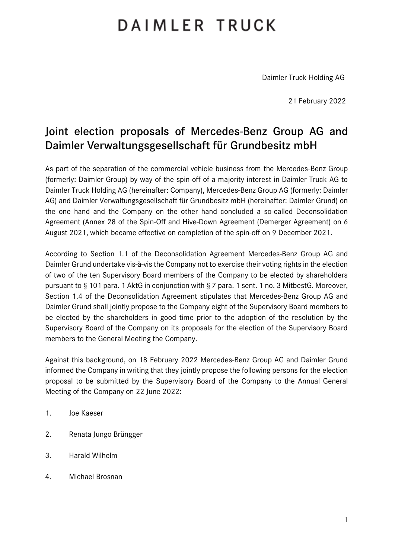## DAIMLER TRUCK

Daimler Truck Holding AG

21 February 2022

## Joint election proposals of Mercedes-Benz Group AG and Daimler Verwaltungsgesellschaft für Grundbesitz mbH

As part of the separation of the commercial vehicle business from the Mercedes-Benz Group (formerly: Daimler Group) by way of the spin-off of a majority interest in Daimler Truck AG to Daimler Truck Holding AG (hereinafter: Company), Mercedes-Benz Group AG (formerly: Daimler AG) and Daimler Verwaltungsgesellschaft für Grundbesitz mbH (hereinafter: Daimler Grund) on the one hand and the Company on the other hand concluded a so-called Deconsolidation Agreement (Annex 28 of the Spin-Off and Hive-Down Agreement (Demerger Agreement) on 6 August 2021, which became effective on completion of the spin-off on 9 December 2021.

According to Section 1.1 of the Deconsolidation Agreement Mercedes-Benz Group AG and Daimler Grund undertake vis-à-vis the Company not to exercise their voting rights in the election of two of the ten Supervisory Board members of the Company to be elected by shareholders pursuant to § 101 para. 1 AktG in conjunction with § 7 para. 1 sent. 1 no. 3 MitbestG. Moreover, Section 1.4 of the Deconsolidation Agreement stipulates that Mercedes-Benz Group AG and Daimler Grund shall jointly propose to the Company eight of the Supervisory Board members to be elected by the shareholders in good time prior to the adoption of the resolution by the Supervisory Board of the Company on its proposals for the election of the Supervisory Board members to the General Meeting the Company.

Against this background, on 18 February 2022 Mercedes-Benz Group AG and Daimler Grund informed the Company in writing that they jointly propose the following persons for the election proposal to be submitted by the Supervisory Board of the Company to the Annual General Meeting of the Company on 22 June 2022:

- 1. Joe Kaeser
- 2. Renata Jungo Brüngger
- 3. Harald Wilhelm
- 4. Michael Brosnan